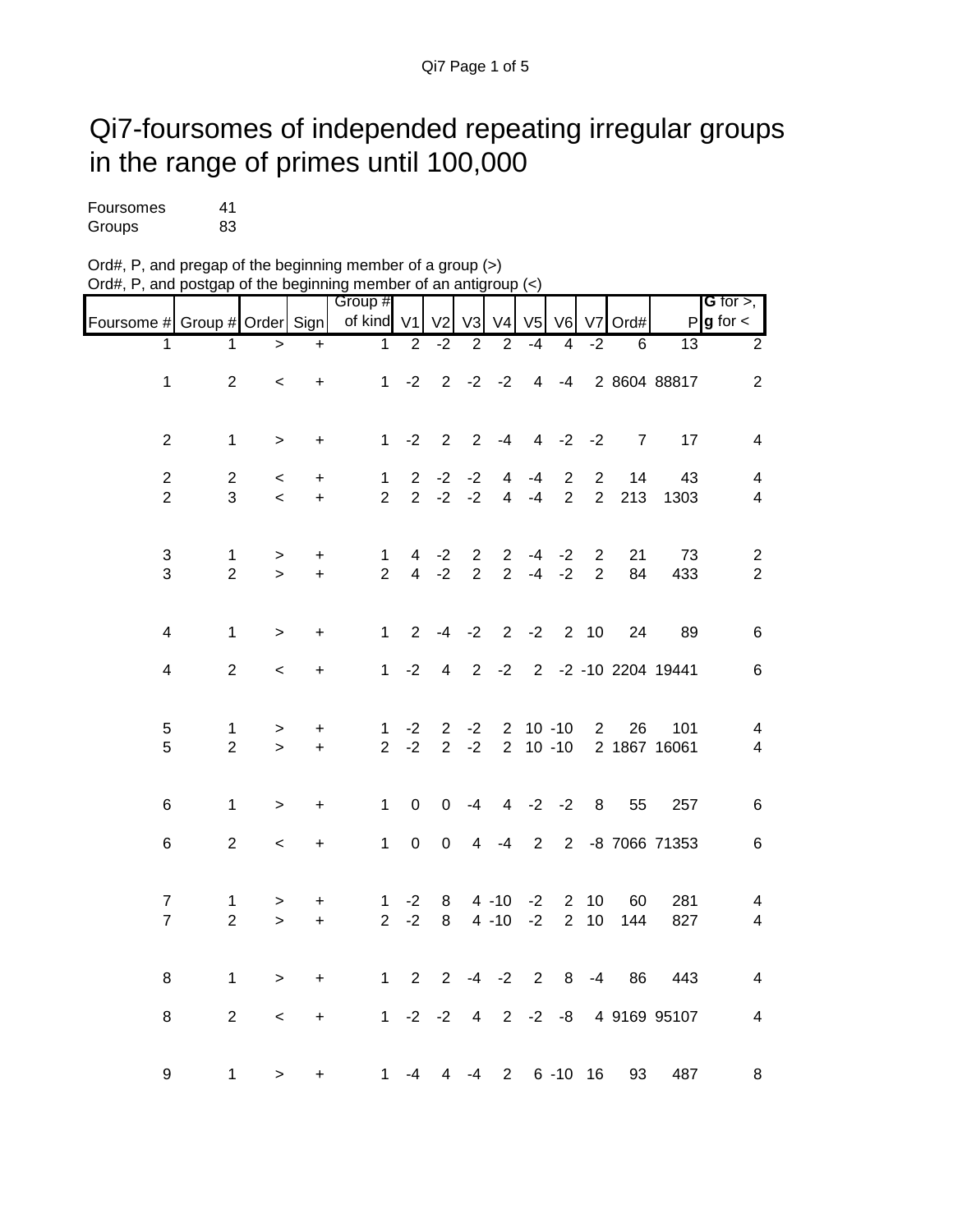## Qi7-foursomes of independed repeating irregular groups in the range of primes until 100,000

| Foursomes | 41 |
|-----------|----|
| Groups    | 83 |

| Ord#, P, and pregap of the beginning member of a group (>)                                         |  |
|----------------------------------------------------------------------------------------------------|--|
| Ord#, P, and postgap of the beginning member of an antigroup $\left\langle \epsilon \right\rangle$ |  |

|                               |                |           |           | Group #                        |                |                                  |                                  |                                  |                |                |                                  |      |                     | G for $>$ ,              |
|-------------------------------|----------------|-----------|-----------|--------------------------------|----------------|----------------------------------|----------------------------------|----------------------------------|----------------|----------------|----------------------------------|------|---------------------|--------------------------|
| Foursome # Group # Order Sign |                |           |           | of kind                        | V <sub>1</sub> | V <sub>2</sub>                   | V3                               | V <sub>4</sub>                   | V <sub>5</sub> | V6             | V <sub>7</sub>                   | Ord# |                     | $P$ <b>g</b> for $\lt$   |
| 1                             | $\mathbf 1$    | $\geq$    | $\ddot{}$ | $\mathbf{1}$                   | $\overline{2}$ | $-2$                             | $\overline{2}$                   | $\overline{2}$                   | $-4$           | $\overline{4}$ | $-2$                             | 6    | $\overline{13}$     | $\overline{2}$           |
| $\mathbf 1$                   | $\overline{2}$ | $\prec$   | $\ddot{}$ | 1                              | $-2$           |                                  |                                  | $2 -2 -2$                        |                | $4 - 4$        |                                  |      | 2 8604 88817        | $\overline{2}$           |
|                               |                |           |           |                                |                |                                  |                                  |                                  |                |                |                                  |      |                     |                          |
| $\overline{2}$                | $\mathbf 1$    | $\,>$     | +         | $\mathbf{1}$                   | $-2$           | $\overline{2}$                   | 2                                | $-4$                             | $\overline{4}$ | $-2$           | $-2$                             | 7    | 17                  | 4                        |
| $\overline{c}$                | $\overline{c}$ | $\,<\,$   | +         | $\mathbf{1}$                   | $\overline{2}$ | $-2$                             | $-2$                             | 4                                | -4             | $\overline{2}$ | $\overline{c}$                   | 14   | 43                  | $\overline{\mathbf{4}}$  |
| $\overline{2}$                | 3              | $\prec$   | $\ddot{}$ | $\overline{2}$                 | $\overline{2}$ | $-2$                             | $-2$                             | $\overline{4}$                   | $-4$           | $\overline{2}$ | $\overline{2}$                   | 213  | 1303                | $\overline{4}$           |
|                               |                |           |           |                                |                |                                  |                                  |                                  |                |                |                                  |      |                     |                          |
| 3                             | $\mathbf{1}$   | $\,$      | $\ddot{}$ | $\mathbf{1}$<br>$\overline{2}$ | 4              | $-2$                             | $\overline{2}$<br>$\overline{2}$ | $\overline{2}$<br>$\overline{2}$ | -4             | $-2$           | $\overline{c}$<br>$\overline{2}$ | 21   | 73                  | $\sqrt{2}$               |
| 3                             | $\overline{2}$ | $\geq$    | $\ddot{}$ |                                | $\overline{4}$ | $-2$                             |                                  |                                  | $-4$           | $-2$           |                                  | 84   | 433                 | $\sqrt{2}$               |
| $\overline{\mathbf{4}}$       | 1              |           |           | $\mathbf{1}$                   | $\overline{2}$ | $-4$                             | $-2$                             |                                  |                | $2 -2 2 10$    |                                  | 24   | 89                  | $\,6$                    |
|                               |                | >         | +         |                                |                |                                  |                                  |                                  |                |                |                                  |      |                     |                          |
| 4                             | $\mathbf{2}$   | $\,<\,$   | +         | $\mathbf{1}$                   | $-2$           | $\overline{4}$                   | $\overline{2}$                   | $-2$                             |                |                |                                  |      | 2 -2 -10 2204 19441 | $\,6$                    |
|                               |                |           |           |                                |                |                                  |                                  |                                  |                |                |                                  |      |                     |                          |
| 5                             | $\mathbf{1}$   | $\,>$     | +         | 1<br>$\overline{2}$            | $-2$           | $\overline{2}$<br>$\overline{2}$ | $-2$                             | $\overline{2}$                   |                | $10 - 10$      | $\overline{2}$                   | 26   | 101                 | $\overline{4}$           |
| 5                             | $\overline{2}$ | $\geq$    | $\ddot{}$ |                                | $-2$           |                                  | $-2$                             |                                  |                | $2 10 - 10$    |                                  |      | 2 1867 16061        | $\overline{4}$           |
| 6                             | 1              |           |           | $\mathbf{1}$                   | $\mathsf 0$    | 0                                | $-4$                             |                                  |                | $4 -2 -2$      | $\,8\,$                          | 55   | 257                 | $\,6$                    |
|                               |                | $\, > \,$ | +         |                                |                |                                  |                                  |                                  |                |                |                                  |      |                     |                          |
| $\,6\,$                       | $\overline{2}$ | $\,<$     | +         | $\mathbf{1}$                   | $\mathbf 0$    | $\mathbf 0$                      | $\overline{4}$                   | $-4$                             | $\overline{2}$ | $2^{\circ}$    |                                  |      | -8 7066 71353       | $\,6$                    |
|                               |                |           |           |                                |                |                                  |                                  |                                  |                |                |                                  |      |                     |                          |
| $\overline{7}$                | $\mathbf{1}$   | $\, > \,$ | +         | $\mathbf{1}$                   | $-2$           | 8                                |                                  | $4 - 10$                         | $-2$           | $\overline{2}$ | 10                               | 60   | 281                 | $\overline{\mathcal{A}}$ |
| $\overline{7}$                | $\overline{2}$ | $\geq$    | $\ddot{}$ | $\overline{2}$                 | $-2$           | 8                                |                                  | $4 - 10$                         | $-2$           | $\overline{2}$ | $10$                             | 144  | 827                 | $\overline{4}$           |
|                               |                |           |           |                                |                |                                  |                                  |                                  |                |                |                                  |      |                     |                          |
| 8                             | $\mathbf{1}$   | $\,>$     | $\pmb{+}$ | $\mathbf{1}$                   | $\overline{2}$ | $\overline{2}$                   | $-4$                             | $-2$                             | $\overline{2}$ | 8              | $-4$                             | 86   | 443                 | 4                        |
| 8                             | $\overline{2}$ | $\,<$     | $\ddot{}$ | $\mathbf{1}$                   |                | $-2 -2$                          | 4                                |                                  |                | $2 -2 -8$      |                                  |      | 4 9169 95107        | 4                        |
|                               |                |           |           |                                |                |                                  |                                  |                                  |                |                |                                  |      |                     |                          |
| 9                             | 1              | $\geq$    | $\ddot{}$ | 1                              | -4             | 4                                | $-4$                             | $2^{\circ}$                      |                | $6 - 10$ 16    |                                  | 93   | 487                 | 8                        |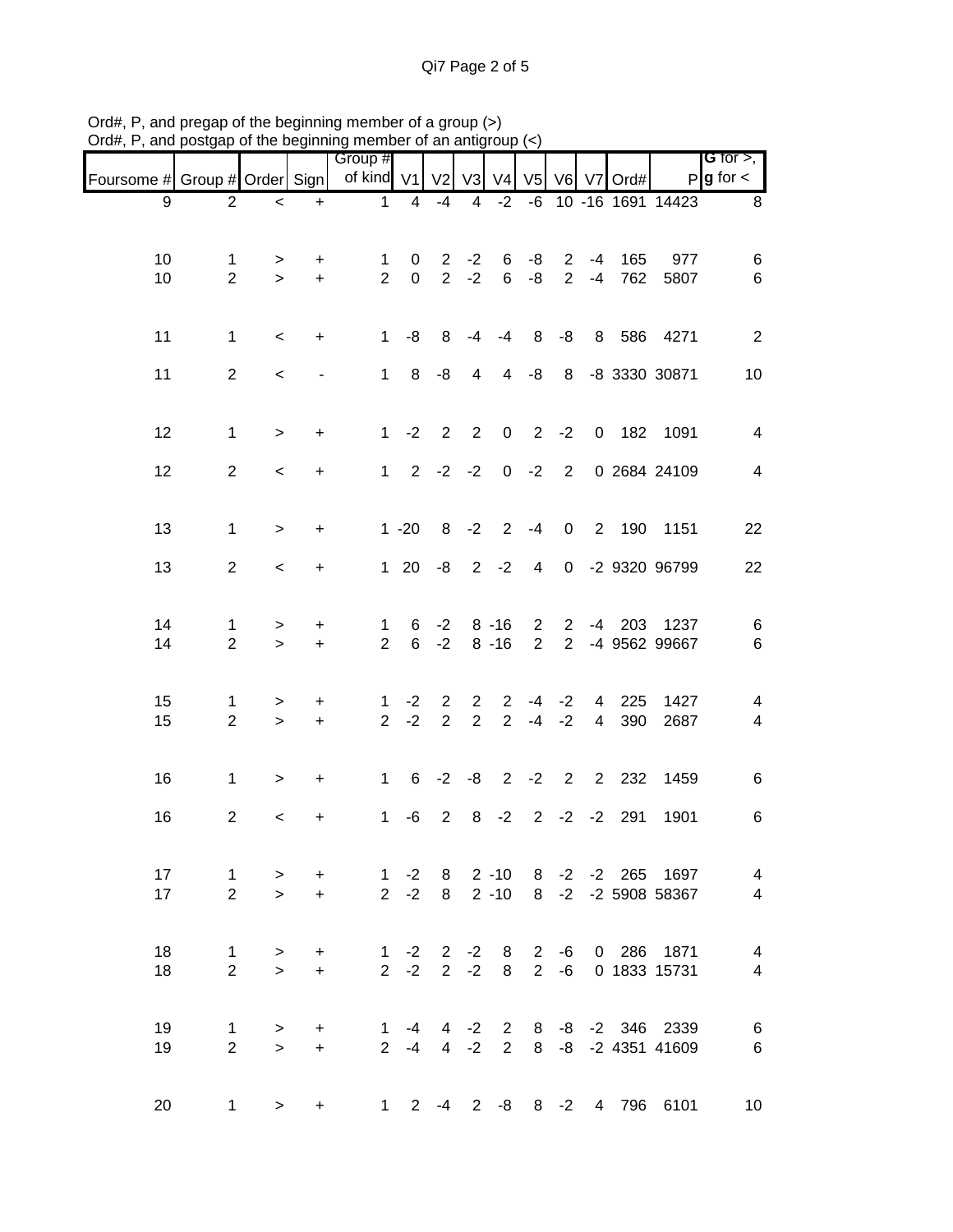|                               |                |                          |                          | Group #        |                |                   |                |                |                |                |                |               |                                 | <b>G</b> for $>$ , $\blacksquare$ |
|-------------------------------|----------------|--------------------------|--------------------------|----------------|----------------|-------------------|----------------|----------------|----------------|----------------|----------------|---------------|---------------------------------|-----------------------------------|
| Foursome # Group # Order Sign |                |                          |                          | of kind $V1$   |                | V <sub>2</sub>    | V3             | V <sub>4</sub> |                |                |                | V5 V6 V7 Ord# |                                 | $P$ <b>g</b> for $\lt$            |
| 9                             | 2              | $\prec$                  | $\ddot{}$                | $\mathbf{1}$   | $\overline{4}$ | $-4$              | 4              |                |                |                |                |               | $-2$ $-6$ 10 $-16$ 1691 14423   | 8                                 |
|                               |                |                          |                          |                |                |                   |                |                |                |                |                |               |                                 |                                   |
| 10                            | $\mathbf 1$    | >                        | $\ddot{}$                | $\mathbf{1}$   | 0              | $\overline{2}$    | $-2$           | 6              | -8             | $2^{\circ}$    | $-4$           | 165           | 977                             | 6                                 |
| 10                            | $\overline{2}$ | $\geq$                   | $+$                      | $\overline{2}$ | $\mathbf 0$    | $\overline{2}$    | $-2$           | 6              | $-8$           | $2^{\circ}$    | $-4$           | 762           | 5807                            | $\,6$                             |
|                               |                |                          |                          |                |                |                   |                |                |                |                |                |               |                                 |                                   |
| 11                            | $\mathbf{1}$   | $\,<\,$                  | $+$                      | 1              | -8             | 8                 | -4             | -4             |                |                |                |               | 8 -8 8 586 4271                 | 2                                 |
|                               |                |                          |                          |                |                |                   |                |                |                |                |                |               |                                 |                                   |
| 11                            | $\overline{2}$ | $\overline{\phantom{0}}$ | $\overline{\phantom{a}}$ |                | $1 \t 8 \t -8$ |                   | $\overline{4}$ |                | $4 - 8$        |                |                |               | 8 -8 3330 30871                 | 10                                |
|                               |                |                          |                          |                |                |                   |                |                |                |                |                |               |                                 |                                   |
| 12                            | $\mathbf{1}$   | $\, > \,$                | $\ddot{}$                | 1              | $-2$           |                   | $2 \quad 2$    | $\overline{0}$ | $2 -2$         |                |                |               | 0 182 1091                      | 4                                 |
| 12                            | $\overline{2}$ | $\prec$                  | $\ddot{}$                |                |                | $1 \t2 \t-2 \t-2$ |                |                | $0 -2 2$       |                |                |               | 0 2684 24109                    | 4                                 |
|                               |                |                          |                          |                |                |                   |                |                |                |                |                |               |                                 |                                   |
|                               |                |                          |                          |                |                |                   |                |                |                |                |                |               |                                 |                                   |
| 13                            | $\mathbf{1}$   | $\geq$                   | $\ddot{}$                |                | $1 - 20$       |                   |                | $8 - 2 2 - 4$  |                | $\overline{0}$ |                |               | 2 190 1151                      | 22                                |
| 13                            | $\overline{2}$ | $\overline{\phantom{0}}$ | $\ddot{}$                |                |                | $120 -82 -2$      |                |                | $\overline{4}$ |                |                |               | 0 -2 9320 96799                 | 22                                |
|                               |                |                          |                          |                |                |                   |                |                |                |                |                |               |                                 |                                   |
| 14                            | $\mathbf{1}$   | >                        | $\pm$                    | $\mathbf{1}$   | 6              | $-2$              |                | $8 - 16$       | $2^{\circ}$    |                |                |               | 2 -4 203 1237                   | 6                                 |
| 14                            | $\overline{2}$ | $\geq$                   | $+$                      | $\overline{2}$ |                | $6 -2$            |                | $8 - 16$       | $\overline{2}$ | $2^{\circ}$    |                |               | -4 9562 99667                   | $\,6$                             |
|                               |                |                          |                          |                |                |                   |                |                |                |                |                |               |                                 |                                   |
| 15                            | 1              | >                        | $\pm$                    | $\mathbf{1}$   | $-2$           | $2^{\circ}$       | $\mathbf{2}$   | $2^{\circ}$    |                | $-4$ $-2$      |                | 4 225         | 1427                            | 4                                 |
| 15                            | $\overline{2}$ | $\geq$                   | $\ddot{}$                | 2 <sup>1</sup> | $-2$           | $\overline{2}$    | $\overline{2}$ |                | $2 - 4 - 2$    |                | $\overline{4}$ | 390           | 2687                            | 4                                 |
|                               |                |                          |                          |                |                |                   |                |                |                |                |                |               |                                 |                                   |
| 16                            | $\mathbf{1}$   | $\, > \,$                | $\ddot{}$                | $1 \quad$      |                | $6 -2$            |                | $-8$ 2 $-2$ 2  |                |                |                | 2 2 3 2       | 1459                            | 6                                 |
|                               |                |                          |                          |                |                |                   |                |                |                |                |                |               |                                 |                                   |
| 16                            | $\overline{2}$ | $\,<$                    | $\ddot{}$                | $\mathbf{1}$   | -6             | $\overline{2}$    | 8              | $-2$           | $2^{\circ}$    |                | $-2$ $-2$      | 291           | 1901                            | 6                                 |
|                               |                |                          |                          |                |                |                   |                |                |                |                |                |               |                                 |                                   |
| 17                            | $\mathbf{1}$   | $\geq$                   | $+$                      |                |                |                   |                |                |                |                |                |               | 1 -2 8 2 -10 8 -2 -2 265 1697   | $\overline{\mathcal{A}}$          |
| 17                            | $\overline{2}$ | $\geq$                   | $+$                      |                |                |                   |                |                |                |                |                |               | 2 -2 8 2 -10 8 -2 -2 5908 58367 | $\overline{4}$                    |
|                               |                |                          |                          |                |                |                   |                |                |                |                |                |               |                                 |                                   |
| 18                            | $\mathbf{1}$   | $\geq$                   | $+$                      |                | $1 -2$         |                   | $2 -2$         | 8 <sup>8</sup> |                | $2 - 6$        |                |               | 0 286 1871                      | $\overline{4}$                    |
| 18                            | $\overline{2}$ | $\geq$                   | $\ddot{}$                |                | $2 -2$         |                   | $2 -2$         | 8              |                | $2 - 6$        |                |               | 0 1833 15731                    | $\overline{4}$                    |
|                               |                |                          |                          |                |                |                   |                |                |                |                |                |               |                                 |                                   |
| 19                            | $\mathbf{1}$   | $\geq$                   | $+$                      |                | $1 - 4$        |                   |                |                |                |                |                |               | 4 -2 2 8 -8 -2 346 2339         | $\,6$                             |
| 19                            | $\overline{2}$ | $\geq$                   | $+$                      |                |                |                   |                |                |                |                |                |               | 2 -4 4 -2 2 8 -8 -2 4351 41609  | $\,6$                             |
|                               |                |                          |                          |                |                |                   |                |                |                |                |                |               |                                 |                                   |
| 20                            | 1              | $\geq$                   | $+$                      |                |                |                   |                |                |                |                |                |               | 1 2 -4 2 -8 8 -2 4 796 6101     | 10                                |

Ord#, P, and pregap of the beginning member of a group (>) Ord#, P, and postgap of the beginning member of an antigroup (<)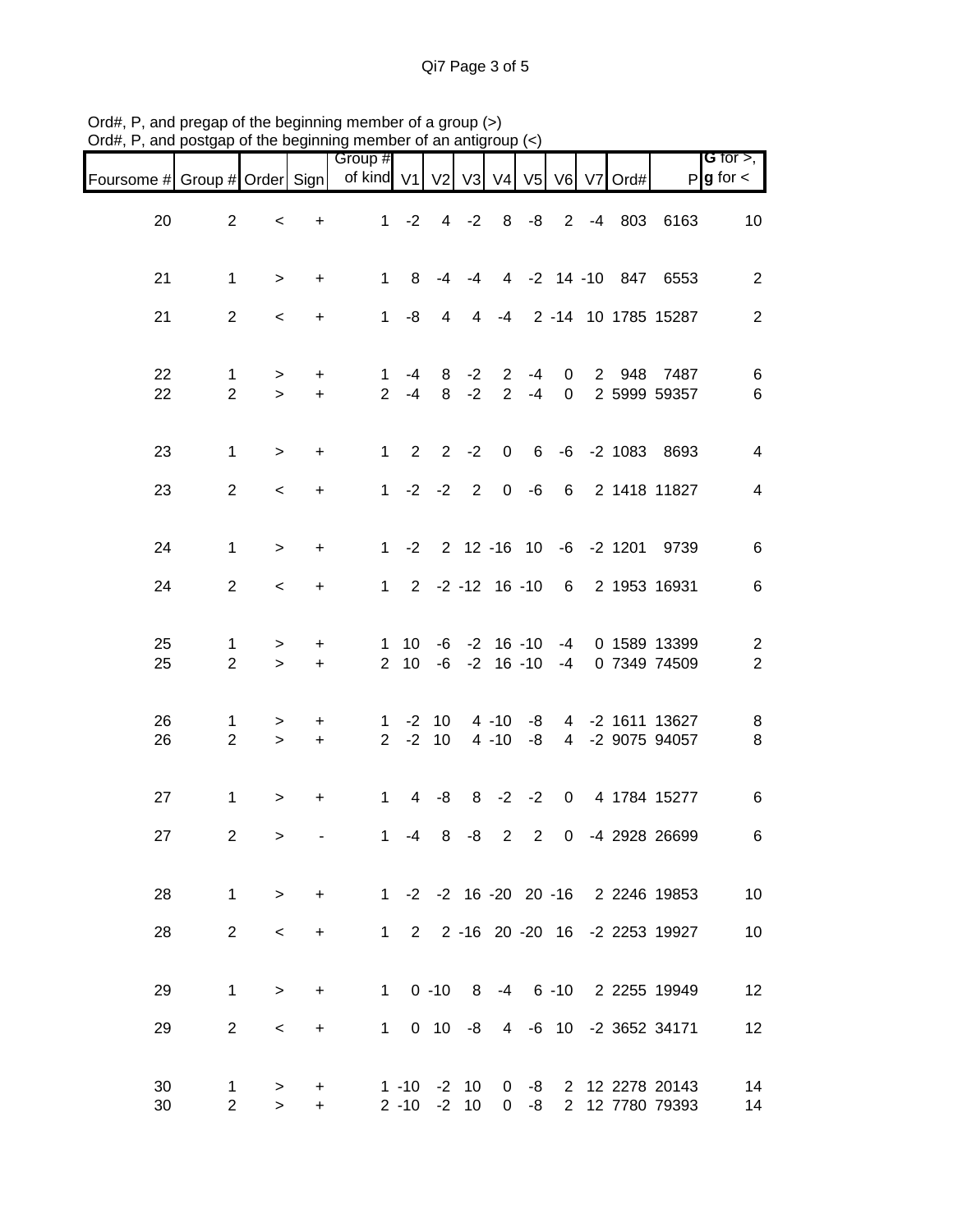|                               |                     |                          |                        | Group #                           |                      |                    |                    |                                  |            |                                                    |             |     |                                    | G for $>$ ,                               |
|-------------------------------|---------------------|--------------------------|------------------------|-----------------------------------|----------------------|--------------------|--------------------|----------------------------------|------------|----------------------------------------------------|-------------|-----|------------------------------------|-------------------------------------------|
| Foursome # Group # Order Sign |                     |                          |                        | of kind V1 V2 V3 V4 V5 V6 V7 Ord# |                      |                    |                    |                                  |            |                                                    |             |     |                                    | $P$ <b>g</b> for $\lt$                    |
| 20                            | $\overline{2}$      | $\,<\,$                  | $\ddot{}$              | 1                                 | $-2$                 |                    | $4 -2$             | 8                                | -8         |                                                    |             |     | 2 -4 803 6163                      | 10                                        |
| 21                            | $\mathbf{1}$        | $\, >$                   | $\ddot{}$              | $\mathbf{1}$                      | 8                    | -4                 | $-4$               |                                  |            |                                                    |             |     | 4 -2 14 -10 847 6553               | 2                                         |
| 21                            | $\overline{2}$      | $\,<\,$                  | $\ddot{}$              | 1                                 | -8                   | $\overline{4}$     |                    |                                  |            |                                                    |             |     | 4 -4 2 -14 10 1785 15287           | $\overline{2}$                            |
| 22<br>22                      | 1<br>$\overline{2}$ | $\, > \,$<br>$\geq$      | $\ddot{}$<br>$+$       | 1                                 | -4<br>$2 - 4$        |                    | $8 - 2$<br>$8 - 2$ | $\overline{2}$<br>$\overline{2}$ | -4<br>$-4$ | $\mathbf 0$<br>$\overline{0}$                      | $2^{\circ}$ | 948 | 7487<br>2 5999 59357               | 6<br>6                                    |
| 23                            | $\mathbf{1}$        | $\, >$                   | $\ddot{}$              | 1                                 | 2                    |                    | $2 -2$             | $\mathbf 0$                      |            |                                                    |             |     | 6 -6 -2 1083 8693                  | 4                                         |
| 23                            | $\overline{2}$      | $\overline{\phantom{0}}$ | $\ddot{}$              |                                   | $1 -2$               |                    | $-2$ 2             | $\overline{0}$                   |            | $-6$ 6                                             |             |     | 2 1418 11827                       | 4                                         |
| 24                            | $\mathbf{1}$        | $\,>$                    | $\ddot{}$              |                                   |                      |                    |                    |                                  |            |                                                    |             |     | 1 -2 2 12 -16 10 -6 -2 1201 9739   | 6                                         |
| 24                            | $\overline{2}$      | $\,<\,$                  | $\ddot{}$              | $1 \quad$                         |                      |                    |                    |                                  |            |                                                    |             |     | 2 -2 -12 16 -10 6 2 1953 16931     | 6                                         |
| 25<br>25                      | 1<br>$\overline{2}$ | ><br>$\geq$              | $\ddot{}$<br>$\ddot{}$ | 1<br>$\overline{2}$               | 10<br>10             |                    |                    |                                  |            | $-6$ $-2$ 16 $-10$ $-4$<br>$-6$ $-2$ 16 $-10$ $-4$ |             |     | 0 1589 13399<br>0 7349 74509       | $\overline{\mathbf{c}}$<br>$\overline{2}$ |
| 26<br>26                      | 1<br>$\overline{2}$ | ><br>$\geq$              | $+$<br>$+$             | $\mathbf{1}$<br>2 <sup>7</sup>    |                      | $-2$ 10<br>$-2$ 10 |                    | $4 - 10$<br>$4 - 10$             | -8<br>-8   |                                                    |             |     | 4 -2 1611 13627<br>4 -2 9075 94057 | 8<br>8                                    |
| 27                            | 1                   | $\,>$                    | $\ddot{}$              | $1 -$                             | $\overline{4}$       | -8                 |                    | $8 - 2$                          | $-2$       | $\overline{0}$                                     |             |     | 4 1784 15277                       | 6                                         |
| 27                            | $\overline{2}$      | $\, > \,$                |                        | 1                                 | -4                   | 8                  | -8                 | $\overline{2}$                   | 2          |                                                    |             |     | 0 -4 2928 26699                    | 6                                         |
| 28                            | $\mathbf{1}$        | $\geq$                   | $+$                    |                                   |                      |                    |                    |                                  |            |                                                    |             |     | 1 -2 -2 16 -20 20 -16 2 2246 19853 | 10                                        |
| 28                            | $\overline{2}$      | $\,<\,$                  | $\ddot{}$              | $1 \quad$                         |                      |                    |                    |                                  |            |                                                    |             |     | 2 2 -16 20 -20 16 -2 2253 19927    | 10                                        |
| 29                            | $\mathbf 1$         | $\,>$                    | $\ddot{}$              | $1 \quad$                         |                      |                    |                    |                                  |            |                                                    |             |     | 0 -10 8 -4 6 -10 2 2255 19949      | 12                                        |
| 29                            | $\overline{2}$      | $\,<\,$                  | +                      | 1.                                |                      | $0 \t10 \t-8$      |                    | $\overline{4}$                   |            |                                                    |             |     | -6 10 -2 3652 34171                | 12                                        |
| 30<br>30                      | 1<br>$\overline{2}$ | ><br>$\geq$              | $\ddot{}$<br>+         |                                   | $1 - 10$<br>$2 - 10$ |                    | $-2$ 10<br>$-2$ 10 | $\mathbf 0$<br>$\mathbf{0}$      | -8<br>-8   | $\overline{2}$                                     |             |     | 2 12 2278 20143<br>12 7780 79393   | 14<br>14                                  |

Ord#, P, and pregap of the beginning member of a group (>) Ord#, P, and postgap of the beginning member of an antigroup (<)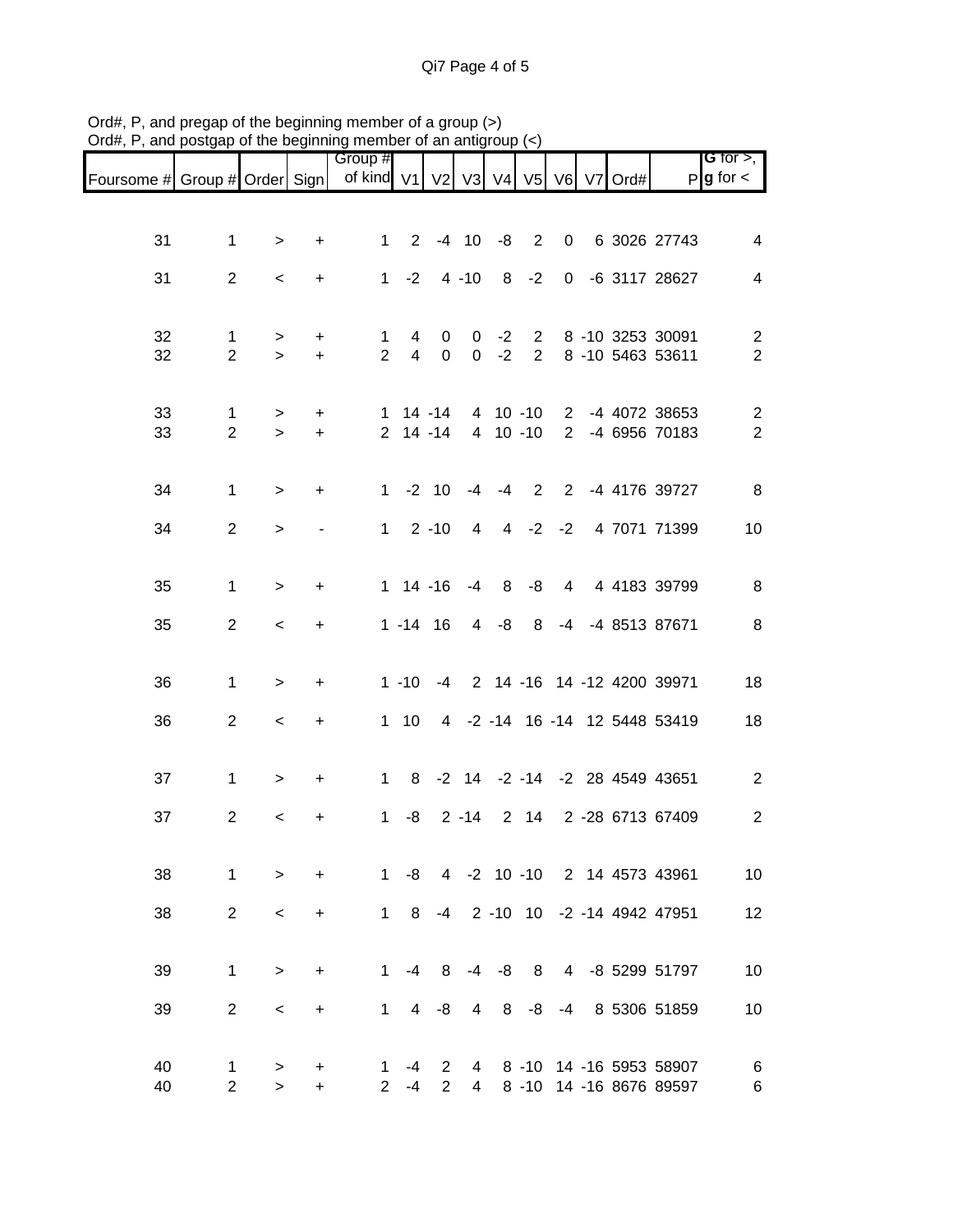|                               |                     |             |                          | Group #                           |                       |                  |                                |              |                |                |  |                                                    | <b>G</b> for $>$ ,           |
|-------------------------------|---------------------|-------------|--------------------------|-----------------------------------|-----------------------|------------------|--------------------------------|--------------|----------------|----------------|--|----------------------------------------------------|------------------------------|
| Foursome # Group # Order Sign |                     |             |                          | of kind V1 V2 V3 V4 V5 V6 V7 Ord# |                       |                  |                                |              |                |                |  |                                                    | $P$ <b>g</b> for $\lt$       |
|                               |                     |             |                          |                                   |                       |                  |                                |              |                |                |  |                                                    |                              |
| 31                            | $\mathbf 1$         | $\, > \,$   | +                        | $\mathbf{1}$                      | $\overline{2}$        |                  |                                | $-4$ 10 $-8$ | 2              | $\overline{0}$ |  | 6 3026 27743                                       | 4                            |
| 31                            | $\overline{2}$      | $\,<$       | $\ddot{}$                | $\mathbf{1}$                      | $-2$                  |                  | $4 - 10$                       | 8            | $-2$           |                |  | 0 -6 3117 28627                                    | $\overline{4}$               |
|                               |                     |             |                          |                                   |                       |                  |                                |              |                |                |  |                                                    |                              |
| 32<br>32                      | 1<br>$\overline{2}$ | ><br>$\geq$ | +<br>$\ddot{}$           | 1<br>$\overline{2}$               | 4<br>$\overline{4}$   | 0<br>$\mathbf 0$ | $\mathbf{0}$<br>$\overline{0}$ | $-2$<br>$-2$ | $\overline{2}$ |                |  | 2 8 -10 3253 30091<br>8 -10 5463 53611             | $\overline{2}$<br>$\sqrt{2}$ |
|                               |                     |             |                          |                                   |                       |                  |                                |              |                |                |  |                                                    |                              |
| 33                            | 1                   | >           | $\ddot{}$                |                                   |                       | $1 14 - 14$      |                                | 4 10 -10     |                |                |  | 2 -4 4072 38653                                    | $\overline{2}$               |
| 33                            | $\overline{2}$      | $\geq$      | $+$                      |                                   |                       | $2$ 14 -14       |                                | 4 10 -10     |                | $\overline{2}$ |  | -4 6956 70183                                      | $\boldsymbol{2}$             |
| 34                            | $\mathbf{1}$        | $\, >$      | $\ddot{}$                |                                   |                       | $1 - 2 10$       |                                | $-4 - 4$     |                |                |  | 2 2 -4 4176 39727                                  | 8                            |
| 34                            | $\overline{2}$      | $\, >$      | $\overline{\phantom{a}}$ |                                   | $1 \quad 2 \quad -10$ |                  | 4                              |              | $4 -2 -2$      |                |  | 4 7071 71399                                       | 10                           |
|                               |                     |             |                          |                                   |                       |                  |                                |              |                |                |  |                                                    |                              |
| 35                            | $\mathbf{1}$        | $\,>$       | $\ddot{}$                |                                   |                       | $1 \t14 - 16$    | $-4$                           | 8            | -8             | $\overline{4}$ |  | 4 4183 39799                                       | 8                            |
| 35                            | $\overline{2}$      | $\,<\,$     | $\ddot{}$                |                                   |                       | $1 - 14$ 16      |                                | $4 - 8$      | 8              |                |  | -4 -4 8513 87671                                   | 8                            |
|                               |                     |             |                          |                                   |                       |                  |                                |              |                |                |  |                                                    |                              |
| 36                            | $\mathbf{1}$        | $\, >$      | $\ddot{}$                |                                   | $1 - 10$              | $-4$             |                                |              |                |                |  | 2 14 -16 14 -12 4200 39971                         | 18                           |
| 36                            | $\overline{2}$      | $\,<$       | +                        |                                   | $1 \quad 10$          |                  |                                |              |                |                |  | 4 -2 -14 16 -14 12 5448 53419                      | 18                           |
|                               |                     |             |                          |                                   |                       |                  |                                |              |                |                |  |                                                    |                              |
| 37                            | $\mathbf{1}$        | $\, > \,$   | $\ddot{}$                | $1 \quad$                         | 8                     |                  |                                |              |                |                |  | -2 14 -2 -14 -2 28 4549 43651                      | $\overline{c}$               |
| 37                            | $\overline{c}$      | $\,<$       | $\pmb{+}$                | $\mathbf{1}$                      | -8                    |                  | $2 - 14$                       |              | $2 \quad 14$   |                |  | 2 -28 6713 67409                                   | $\overline{c}$               |
| 38                            | $\mathbf 1$         | $\geq$      | $\ddot{}$                | 1                                 | -8                    |                  |                                |              |                |                |  | 4 -2 10 -10 2 14 4573 43961                        | 10                           |
| 38                            | $\overline{2}$      | $\prec$     | $\ddot{}$                | $1 \quad$                         | 8                     | $-4$             |                                |              |                |                |  | 2 -10 10 -2 -14 4942 47951                         | 12                           |
|                               |                     |             |                          |                                   |                       |                  |                                |              |                |                |  |                                                    |                              |
| 39                            | $\mathbf 1$         | $\, >$      | $\ddot{}$                | $\mathbf{1}$                      | $-4$                  | 8                | -4                             | $-8$         | 8              |                |  | 4 -8 5299 51797                                    | 10                           |
| 39                            | $\overline{2}$      | $\,<$       | +                        | $\mathbf{1}$                      | $\overline{4}$        | -8               | 4                              | 8            | -8             | -4             |  | 8 5306 51859                                       | 10                           |
|                               |                     |             |                          |                                   |                       |                  |                                |              |                |                |  |                                                    |                              |
| 40<br>40                      | 1<br>$\overline{2}$ | ><br>$\geq$ | +<br>$\ddot{}$           | 1<br>$\mathbf{2}^{\prime}$        | -4<br>-4              | 2<br>2           | 4<br>$\overline{4}$            |              |                |                |  | 8 -10 14 -16 5953 58907<br>8 -10 14 -16 8676 89597 | 6<br>6                       |

Ord#, P, and pregap of the beginning member of a group (>) Ord#, P, and postgap of the beginning member of an antigroup (<)